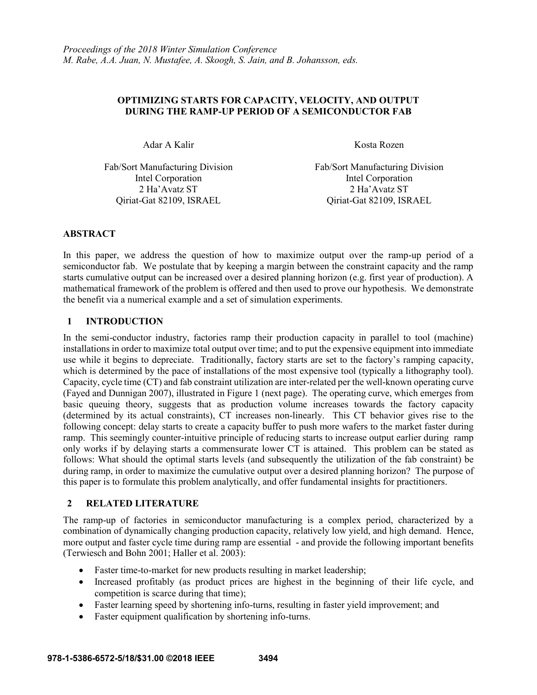# **OPTIMIZING STARTS FOR CAPACITY, VELOCITY, AND OUTPUT DURING THE RAMP-UP PERIOD OF A SEMICONDUCTOR FAB**

Adar A Kalir Kosta Rozen

Fab/Sort Manufacturing Division Fab/Sort Manufacturing Division Intel Corporation Intel Corporation 2 Ha'Avatz ST 2 Ha'Avatz ST Qiriat-Gat 82109, ISRAEL Qiriat-Gat 82109, ISRAEL

# **ABSTRACT**

In this paper, we address the question of how to maximize output over the ramp-up period of a semiconductor fab. We postulate that by keeping a margin between the constraint capacity and the ramp starts cumulative output can be increased over a desired planning horizon (e.g. first year of production). A mathematical framework of the problem is offered and then used to prove our hypothesis. We demonstrate the benefit via a numerical example and a set of simulation experiments.

# **1 INTRODUCTION**

In the semi-conductor industry, factories ramp their production capacity in parallel to tool (machine) installations in order to maximize total output over time; and to put the expensive equipment into immediate use while it begins to depreciate. Traditionally, factory starts are set to the factory's ramping capacity, which is determined by the pace of installations of the most expensive tool (typically a lithography tool). Capacity, cycle time (CT) and fab constraint utilization are inter-related per the well-known operating curve (Fayed and Dunnigan 2007), illustrated in Figure 1 (next page). The operating curve, which emerges from basic queuing theory, suggests that as production volume increases towards the factory capacity (determined by its actual constraints), CT increases non-linearly. This CT behavior gives rise to the following concept: delay starts to create a capacity buffer to push more wafers to the market faster during ramp. This seemingly counter-intuitive principle of reducing starts to increase output earlier during ramp only works if by delaying starts a commensurate lower CT is attained. This problem can be stated as follows: What should the optimal starts levels (and subsequently the utilization of the fab constraint) be during ramp, in order to maximize the cumulative output over a desired planning horizon? The purpose of this paper is to formulate this problem analytically, and offer fundamental insights for practitioners.

# **2 RELATED LITERATURE**

The ramp-up of factories in semiconductor manufacturing is a complex period, characterized by a combination of dynamically changing production capacity, relatively low yield, and high demand. Hence, more output and faster cycle time during ramp are essential - and provide the following important benefits (Terwiesch and Bohn 2001; Haller et al. 2003):

- Faster time-to-market for new products resulting in market leadership;
- Increased profitably (as product prices are highest in the beginning of their life cycle, and competition is scarce during that time);
- Faster learning speed by shortening info-turns, resulting in faster yield improvement; and
- Faster equipment qualification by shortening info-turns.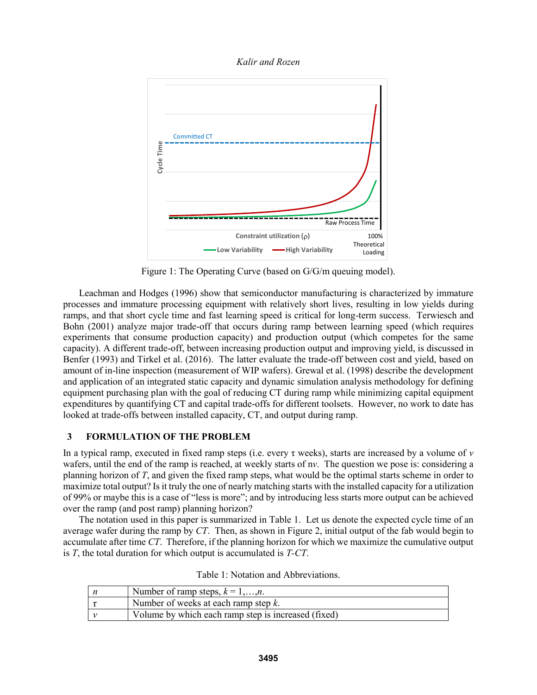*Kalir and Rozen*



Figure 1: The Operating Curve (based on G/G/m queuing model).

Leachman and Hodges (1996) show that semiconductor manufacturing is characterized by immature processes and immature processing equipment with relatively short lives, resulting in low yields during ramps, and that short cycle time and fast learning speed is critical for long-term success. Terwiesch and Bohn (2001) analyze major trade-off that occurs during ramp between learning speed (which requires experiments that consume production capacity) and production output (which competes for the same capacity). A different trade-off, between increasing production output and improving yield, is discussed in Benfer (1993) and Tirkel et al. (2016). The latter evaluate the trade-off between cost and yield, based on amount of in-line inspection (measurement of WIP wafers). Grewal et al. (1998) describe the development and application of an integrated static capacity and dynamic simulation analysis methodology for defining equipment purchasing plan with the goal of reducing CT during ramp while minimizing capital equipment expenditures by quantifying CT and capital trade-offs for different toolsets. However, no work to date has looked at trade-offs between installed capacity, CT, and output during ramp.

# **3 FORMULATION OF THE PROBLEM**

In a typical ramp, executed in fixed ramp steps (i.e. every τ weeks), starts are increased by a volume of *v* wafers, until the end of the ramp is reached, at weekly starts of n*v*. The question we pose is: considering a planning horizon of *T*, and given the fixed ramp steps, what would be the optimal starts scheme in order to maximize total output? Is it truly the one of nearly matching starts with the installed capacity for a utilization of 99% or maybe this is a case of "less is more"; and by introducing less starts more output can be achieved over the ramp (and post ramp) planning horizon?

The notation used in this paper is summarized in Table 1. Let us denote the expected cycle time of an average wafer during the ramp by *CT*. Then, as shown in Figure 2, initial output of the fab would begin to accumulate after time *CT*. Therefore, if the planning horizon for which we maximize the cumulative output is *T*, the total duration for which output is accumulated is *T-CT*.

|  | Table 1: Notation and Abbreviations. |
|--|--------------------------------------|
|--|--------------------------------------|

| Number of ramp steps, $k = 1,,n$ .                  |
|-----------------------------------------------------|
| Number of weeks at each ramp step $k$ .             |
| Volume by which each ramp step is increased (fixed) |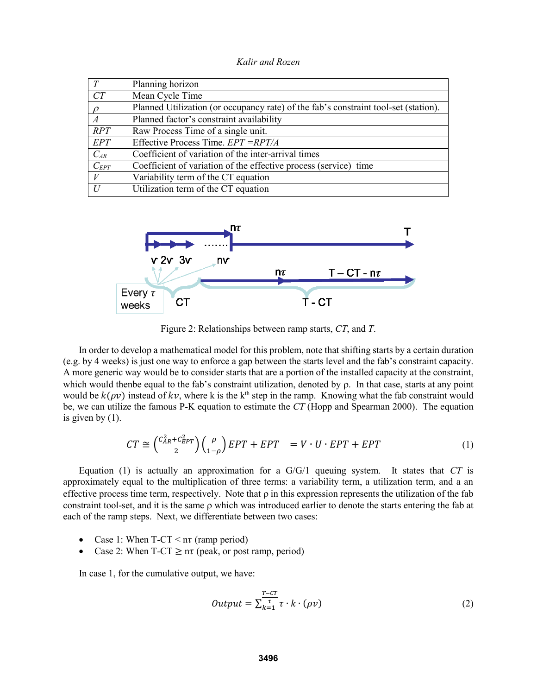*Kalir and Rozen*

|                  | Planning horizon                                                                    |
|------------------|-------------------------------------------------------------------------------------|
| CT               | Mean Cycle Time                                                                     |
| $\sqrt{a}$       | Planned Utilization (or occupancy rate) of the fab's constraint tool-set (station). |
| $\boldsymbol{A}$ | Planned factor's constraint availability                                            |
| RPT              | Raw Process Time of a single unit.                                                  |
| EPT              | Effective Process Time. $EPT = RPT/A$                                               |
| $C_{AR}$         | Coefficient of variation of the inter-arrival times                                 |
| $C_{EPT}$        | Coefficient of variation of the effective process (service) time                    |
|                  | Variability term of the CT equation                                                 |
| $\overline{U}$   | Utilization term of the CT equation                                                 |



Figure 2: Relationships between ramp starts, *CT*, and *T*.

In order to develop a mathematical model for this problem, note that shifting starts by a certain duration (e.g. by 4 weeks) is just one way to enforce a gap between the starts level and the fab's constraint capacity. A more generic way would be to consider starts that are a portion of the installed capacity at the constraint, which would then be equal to the fab's constraint utilization, denoted by  $\rho$ . In that case, starts at any point would be  $k(\rho v)$  instead of kv, where k is the k<sup>th</sup> step in the ramp. Knowing what the fab constraint would be, we can utilize the famous P-K equation to estimate the *CT* (Hopp and Spearman 2000). The equation is given by (1).

$$
CT \cong \left(\frac{C_{AR}^2 + C_{EPT}^2}{2}\right)\left(\frac{\rho}{1-\rho}\right)EPT + EPT = V \cdot U \cdot EPT + EPT \tag{1}
$$

Equation (1) is actually an approximation for a G/G/1 queuing system. It states that *CT* is approximately equal to the multiplication of three terms: a variability term, a utilization term, and a an effective process time term, respectively. Note that  $\rho$  in this expression represents the utilization of the fab constraint tool-set, and it is the same  $\rho$  which was introduced earlier to denote the starts entering the fab at each of the ramp steps. Next, we differentiate between two cases:

- Case 1: When  $T-CT \leq n\tau$  (ramp period)
- Case 2: When  $T-CT \geq n\tau$  (peak, or post ramp, period)

In case 1, for the cumulative output, we have:

$$
Output = \sum_{k=1}^{\frac{T - CT}{\tau}} \tau \cdot k \cdot (\rho v) \tag{2}
$$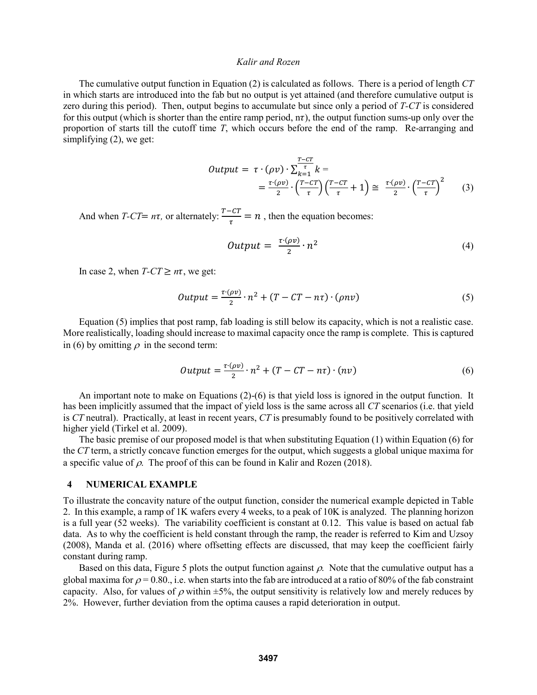The cumulative output function in Equation (2) is calculated as follows. There is a period of length *CT* in which starts are introduced into the fab but no output is yet attained (and therefore cumulative output is zero during this period). Then, output begins to accumulate but since only a period of *T-CT* is considered for this output (which is shorter than the entire ramp period,  $n\tau$ ), the output function sums-up only over the proportion of starts till the cutoff time *T*, which occurs before the end of the ramp. Re-arranging and simplifying (2), we get:

$$
Output = \tau \cdot (\rho v) \cdot \sum_{k=1}^{\tau - cT} k =
$$
  
=  $\frac{\tau \cdot (\rho v)}{2} \cdot \left(\frac{T - cT}{\tau}\right) \left(\frac{T - cT}{\tau} + 1\right) \approx \frac{\tau \cdot (\rho v)}{2} \cdot \left(\frac{T - cT}{\tau}\right)^2$  (3)

And when *T-CT*=  $n\tau$ , or alternately:  $\frac{T - CT}{\tau} = n$ , then the equation becomes:

$$
Output = \frac{\tau \cdot (\rho v)}{2} \cdot n^2 \tag{4}
$$

In case 2, when  $T-CT \geq n\tau$ , we get:

$$
Output = \frac{\tau \cdot (\rho v)}{2} \cdot n^2 + (T - CT - n\tau) \cdot (\rho n v) \tag{5}
$$

Equation (5) implies that post ramp, fab loading is still below its capacity, which is not a realistic case. More realistically, loading should increase to maximal capacity once the ramp is complete. This is captured in (6) by omitting  $\rho$  in the second term:

$$
Output = \frac{\tau \cdot (\rho v)}{2} \cdot n^2 + (T - CT - n\tau) \cdot (nv) \tag{6}
$$

An important note to make on Equations (2)-(6) is that yield loss is ignored in the output function. It has been implicitly assumed that the impact of yield loss is the same across all *CT* scenarios (i.e. that yield is *CT* neutral). Practically, at least in recent years, *CT* is presumably found to be positively correlated with higher yield (Tirkel et al. 2009).

The basic premise of our proposed model is that when substituting Equation (1) within Equation (6) for the *CT* term, a strictly concave function emerges for the output, which suggests a global unique maxima for a specific value of  $\rho$ . The proof of this can be found in Kalir and Rozen (2018).

#### **4 NUMERICAL EXAMPLE**

To illustrate the concavity nature of the output function, consider the numerical example depicted in Table 2. In this example, a ramp of 1K wafers every 4 weeks, to a peak of 10K is analyzed. The planning horizon is a full year (52 weeks). The variability coefficient is constant at 0.12. This value is based on actual fab data. As to why the coefficient is held constant through the ramp, the reader is referred to Kim and Uzsoy (2008), Manda et al. (2016) where offsetting effects are discussed, that may keep the coefficient fairly constant during ramp.

Based on this data, Figure 5 plots the output function against  $\rho$ . Note that the cumulative output has a global maxima for  $\rho = 0.80$ ., i.e. when starts into the fab are introduced at a ratio of 80% of the fab constraint capacity. Also, for values of  $\rho$  within  $\pm 5\%$ , the output sensitivity is relatively low and merely reduces by 2%. However, further deviation from the optima causes a rapid deterioration in output.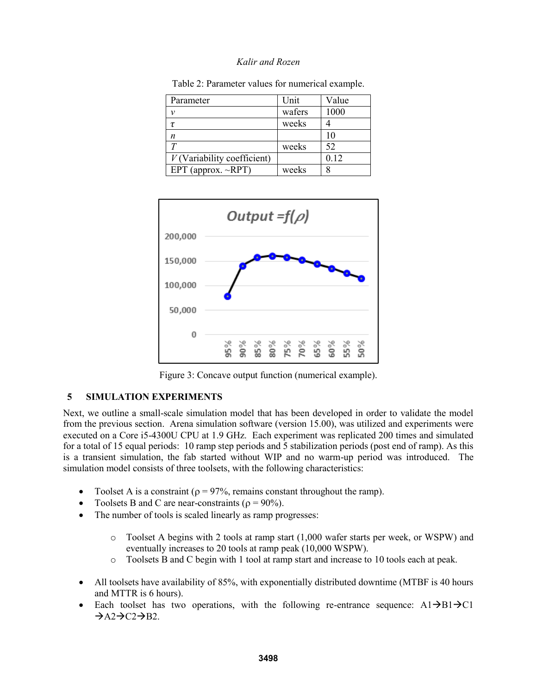| Parameter                     | Unit   | Value |
|-------------------------------|--------|-------|
| ν                             | wafers | 1000  |
| Τ.                            | weeks  |       |
| n                             |        | 10    |
| $\tau$                        | weeks  | 52    |
| $V$ (Variability coefficient) |        | 0.12  |
| EPT (approx. $\sim$ RPT)      | weeks  |       |

Table 2: Parameter values for numerical example.



Figure 3: Concave output function (numerical example).

# **5 SIMULATION EXPERIMENTS**

Next, we outline a small-scale simulation model that has been developed in order to validate the model from the previous section. Arena simulation software (version 15.00), was utilized and experiments were executed on a Core i5-4300U CPU at 1.9 GHz. Each experiment was replicated 200 times and simulated for a total of 15 equal periods: 10 ramp step periods and 5 stabilization periods (post end of ramp). As this is a transient simulation, the fab started without WIP and no warm-up period was introduced. The simulation model consists of three toolsets, with the following characteristics:

- Toolset A is a constraint ( $\rho = 97\%$ , remains constant throughout the ramp).
- Toolsets B and C are near-constraints ( $\rho = 90\%$ ).
- The number of tools is scaled linearly as ramp progresses:
	- o Toolset A begins with 2 tools at ramp start (1,000 wafer starts per week, or WSPW) and eventually increases to 20 tools at ramp peak (10,000 WSPW).
	- o Toolsets B and C begin with 1 tool at ramp start and increase to 10 tools each at peak.
- All toolsets have availability of 85%, with exponentially distributed downtime (MTBF is 40 hours and MTTR is 6 hours).
- Each toolset has two operations, with the following re-entrance sequence:  $A1\rightarrow B1\rightarrow C1$  $\rightarrow$ A2 $\rightarrow$ C2 $\rightarrow$ B2.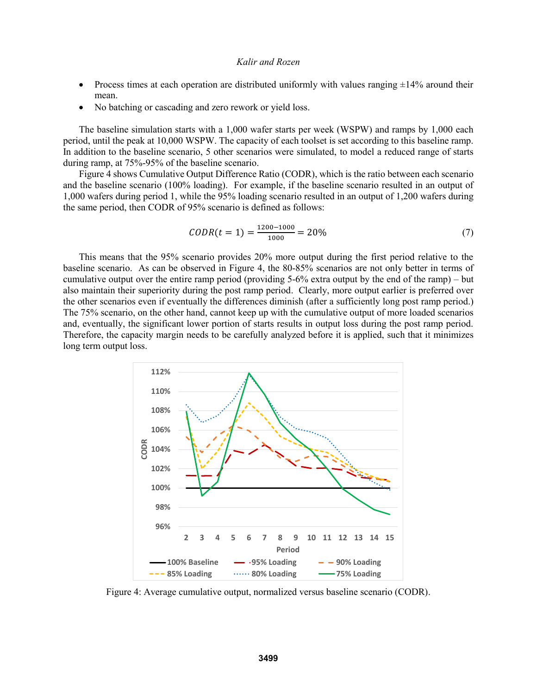- Process times at each operation are distributed uniformly with values ranging  $\pm 14\%$  around their mean.
- No batching or cascading and zero rework or yield loss.

The baseline simulation starts with a 1,000 wafer starts per week (WSPW) and ramps by 1,000 each period, until the peak at 10,000 WSPW. The capacity of each toolset is set according to this baseline ramp. In addition to the baseline scenario, 5 other scenarios were simulated, to model a reduced range of starts during ramp, at 75%-95% of the baseline scenario.

Figure 4 shows Cumulative Output Difference Ratio (CODR), which is the ratio between each scenario and the baseline scenario (100% loading). For example, if the baseline scenario resulted in an output of 1,000 wafers during period 1, while the 95% loading scenario resulted in an output of 1,200 wafers during the same period, then CODR of 95% scenario is defined as follows:

$$
CODR(t=1) = \frac{1200 - 1000}{1000} = 20\% \tag{7}
$$

This means that the 95% scenario provides 20% more output during the first period relative to the baseline scenario. As can be observed in Figure 4, the 80-85% scenarios are not only better in terms of cumulative output over the entire ramp period (providing 5-6% extra output by the end of the ramp) – but also maintain their superiority during the post ramp period. Clearly, more output earlier is preferred over the other scenarios even if eventually the differences diminish (after a sufficiently long post ramp period.) The 75% scenario, on the other hand, cannot keep up with the cumulative output of more loaded scenarios and, eventually, the significant lower portion of starts results in output loss during the post ramp period. Therefore, the capacity margin needs to be carefully analyzed before it is applied, such that it minimizes long term output loss.



Figure 4: Average cumulative output, normalized versus baseline scenario (CODR).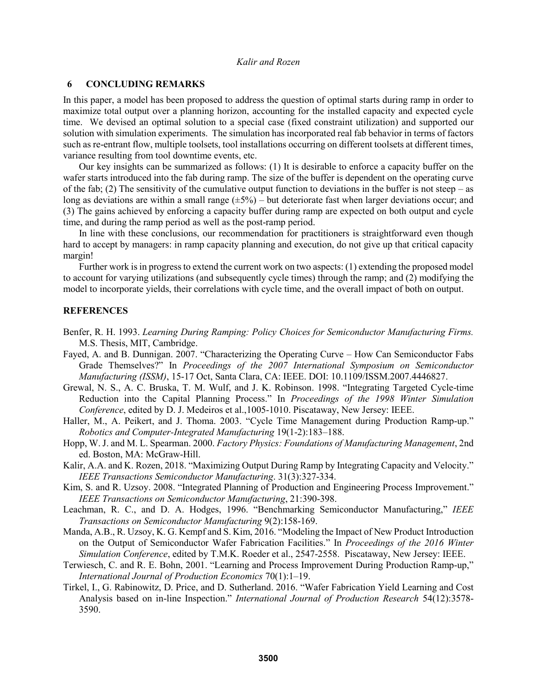### **6 CONCLUDING REMARKS**

In this paper, a model has been proposed to address the question of optimal starts during ramp in order to maximize total output over a planning horizon, accounting for the installed capacity and expected cycle time. We devised an optimal solution to a special case (fixed constraint utilization) and supported our solution with simulation experiments. The simulation has incorporated real fab behavior in terms of factors such as re-entrant flow, multiple toolsets, tool installations occurring on different toolsets at different times, variance resulting from tool downtime events, etc.

Our key insights can be summarized as follows: (1) It is desirable to enforce a capacity buffer on the wafer starts introduced into the fab during ramp. The size of the buffer is dependent on the operating curve of the fab; (2) The sensitivity of the cumulative output function to deviations in the buffer is not steep – as long as deviations are within a small range  $(\pm 5\%)$  – but deteriorate fast when larger deviations occur; and (3) The gains achieved by enforcing a capacity buffer during ramp are expected on both output and cycle time, and during the ramp period as well as the post-ramp period.

In line with these conclusions, our recommendation for practitioners is straightforward even though hard to accept by managers: in ramp capacity planning and execution, do not give up that critical capacity margin!

Further work is in progress to extend the current work on two aspects: (1) extending the proposed model to account for varying utilizations (and subsequently cycle times) through the ramp; and (2) modifying the model to incorporate yields, their correlations with cycle time, and the overall impact of both on output.

### **REFERENCES**

- Benfer, R. H. 1993. *Learning During Ramping: Policy Choices for Semiconductor Manufacturing Firms.* M.S. Thesis, MIT, Cambridge.
- Fayed, A. and B. Dunnigan. 2007. "Characterizing the Operating Curve How Can Semiconductor Fabs Grade Themselves?" In *Proceedings of the 2007 International Symposium on Semiconductor Manufacturing (ISSM)*, 15-17 Oct, Santa Clara, CA: IEEE. DOI: 10.1109/ISSM.2007.4446827.
- Grewal, N. S., A. C. Bruska, T. M. Wulf, and J. K. Robinson. 1998. "Integrating Targeted Cycle-time Reduction into the Capital Planning Process." In *Proceedings of the 1998 Winter Simulation Conference*, edited by D. J. Medeiros et al.,1005-1010. Piscataway, New Jersey: IEEE.
- Haller, M., A. Peikert, and J. Thoma. 2003. "Cycle Time Management during Production Ramp-up." *Robotics and Computer-Integrated Manufacturing* 19(1-2):183–188.
- Hopp, W. J. and M. L. Spearman. 2000. *Factory Physics: Foundations of Manufacturing Management*, 2nd ed. Boston, MA: McGraw-Hill.
- Kalir, A.A. and K. Rozen, 2018. "Maximizing Output During Ramp by Integrating Capacity and Velocity." *IEEE Transactions Semiconductor Manufacturing*. 31(3):327-334.
- Kim, S. and R. Uzsoy. 2008. "Integrated Planning of Production and Engineering Process Improvement." *IEEE Transactions on Semiconductor Manufacturing*, 21:390-398.
- Leachman, R. C., and D. A. Hodges, 1996. "Benchmarking Semiconductor Manufacturing," *IEEE Transactions on Semiconductor Manufacturing* 9(2):158-169.
- Manda, A.B., R. Uzsoy, K. G. Kempf and S. Kim, 2016. "Modeling the Impact of New Product Introduction on the Output of Semiconductor Wafer Fabrication Facilities." In *Proceedings of the 2016 Winter Simulation Conference*, edited by T.M.K. Roeder et al., 2547-2558. Piscataway, New Jersey: IEEE.
- Terwiesch, C. and R. E. Bohn, 2001. "Learning and Process Improvement During Production Ramp-up," *International Journal of Production Economics* 70(1):1–19.
- Tirkel, I., G. Rabinowitz, D. Price, and D. Sutherland. 2016. "Wafer Fabrication Yield Learning and Cost Analysis based on in-line Inspection." *International Journal of Production Research* 54(12):3578- 3590.